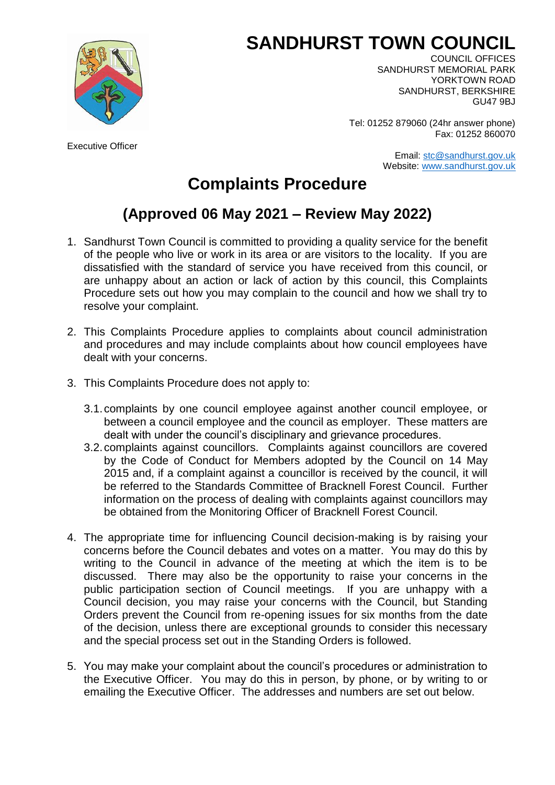## **SANDHURST TOWN COUNCIL**



Executive Officer

COUNCIL OFFICES SANDHURST MEMORIAL PARK YORKTOWN ROAD SANDHURST, BERKSHIRE GU47 9BJ

Tel: 01252 879060 (24hr answer phone) Fax: 01252 860070

> Email: [stc@sandhurst.gov.uk](mailto:stc@sandhurst.gov.uk) Website: [www.sandhurst.gov.uk](http://www.sandhurst.gov.uk/)

## **Complaints Procedure**

## **(Approved 06 May 2021 – Review May 2022)**

- 1. Sandhurst Town Council is committed to providing a quality service for the benefit of the people who live or work in its area or are visitors to the locality. If you are dissatisfied with the standard of service you have received from this council, or are unhappy about an action or lack of action by this council, this Complaints Procedure sets out how you may complain to the council and how we shall try to resolve your complaint.
- 2. This Complaints Procedure applies to complaints about council administration and procedures and may include complaints about how council employees have dealt with your concerns.
- 3. This Complaints Procedure does not apply to:
	- 3.1.complaints by one council employee against another council employee, or between a council employee and the council as employer. These matters are dealt with under the council's disciplinary and grievance procedures.
	- 3.2.complaints against councillors. Complaints against councillors are covered by the Code of Conduct for Members adopted by the Council on 14 May 2015 and, if a complaint against a councillor is received by the council, it will be referred to the Standards Committee of Bracknell Forest Council. Further information on the process of dealing with complaints against councillors may be obtained from the Monitoring Officer of Bracknell Forest Council.
- 4. The appropriate time for influencing Council decision-making is by raising your concerns before the Council debates and votes on a matter. You may do this by writing to the Council in advance of the meeting at which the item is to be discussed. There may also be the opportunity to raise your concerns in the public participation section of Council meetings. If you are unhappy with a Council decision, you may raise your concerns with the Council, but Standing Orders prevent the Council from re-opening issues for six months from the date of the decision, unless there are exceptional grounds to consider this necessary and the special process set out in the Standing Orders is followed.
- 5. You may make your complaint about the council's procedures or administration to the Executive Officer. You may do this in person, by phone, or by writing to or emailing the Executive Officer. The addresses and numbers are set out below.